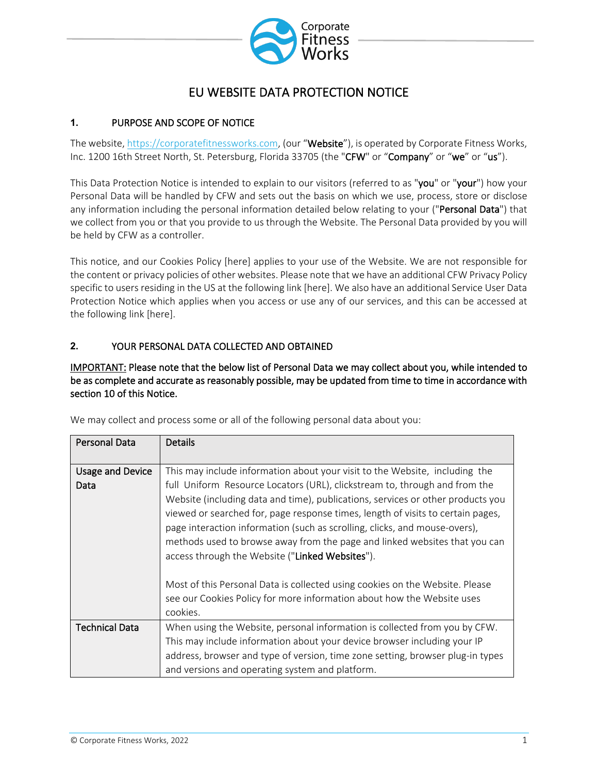

# EU WEBSITE DATA PROTECTION NOTICE

## **1.** PURPOSE AND SCOPE OF NOTICE

The website, [https://corporatefitnessworks.com,](https://corporatefitnessworks.com/) (our "Website"), is operated by Corporate Fitness Works, Inc. 1200 16th Street North, St. Petersburg, Florida 33705 (the "CFW" or "Company" or "we" or "us").

This Data Protection Notice is intended to explain to our visitors (referred to as "you" or "your") how your Personal Data will be handled by CFW and sets out the basis on which we use, process, store or disclose any information including the personal information detailed below relating to your ("Personal Data") that we collect from you or that you provide to us through the Website. The Personal Data provided by you will be held by CFW as a controller.

This notice, and our Cookies Policy [here] applies to your use of the Website. We are not responsible for the content or privacy policies of other websites. Please note that we have an additional CFW Privacy Policy specific to users residing in the US at the following link [here]. We also have an additional Service User Data Protection Notice which applies when you access or use any of our services, and this can be accessed at the following link [here].

## **2.** YOUR PERSONAL DATA COLLECTED AND OBTAINED

IMPORTANT: Please note that the below list of Personal Data we may collect about you, while intended to be as complete and accurate as reasonably possible, may be updated from time to time in accordance with section 10 of this Notice.

| Personal Data           | <b>Details</b>                                                                  |
|-------------------------|---------------------------------------------------------------------------------|
|                         |                                                                                 |
| <b>Usage and Device</b> | This may include information about your visit to the Website, including the     |
| Data                    | full Uniform Resource Locators (URL), clickstream to, through and from the      |
|                         | Website (including data and time), publications, services or other products you |
|                         | viewed or searched for, page response times, length of visits to certain pages, |
|                         | page interaction information (such as scrolling, clicks, and mouse-overs),      |
|                         | methods used to browse away from the page and linked websites that you can      |
|                         | access through the Website ("Linked Websites").                                 |
|                         |                                                                                 |
|                         | Most of this Personal Data is collected using cookies on the Website. Please    |
|                         | see our Cookies Policy for more information about how the Website uses          |
|                         | cookies.                                                                        |
| <b>Technical Data</b>   | When using the Website, personal information is collected from you by CFW.      |
|                         | This may include information about your device browser including your IP        |
|                         | address, browser and type of version, time zone setting, browser plug-in types  |
|                         |                                                                                 |
|                         | and versions and operating system and platform.                                 |

We may collect and process some or all of the following personal data about you: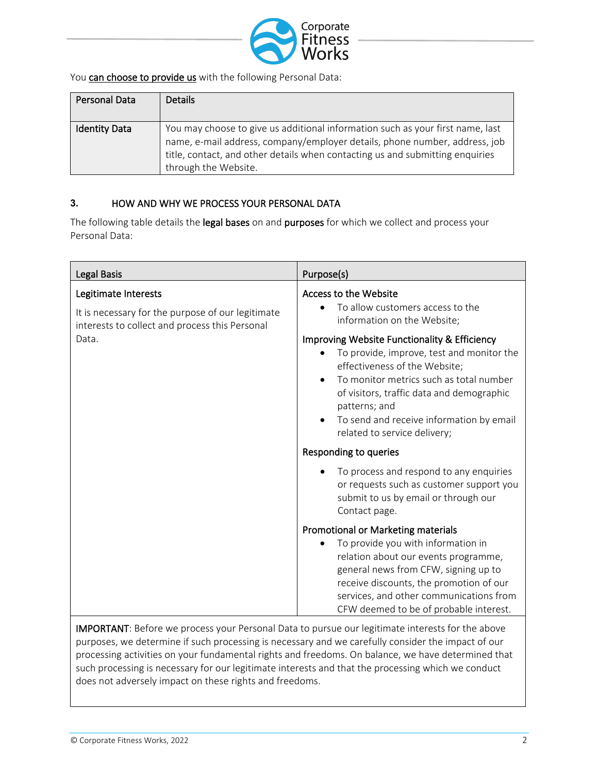

You can choose to provide us with the following Personal Data:

| Personal Data        | <b>Details</b>                                                                                                                                                                                                                                                        |
|----------------------|-----------------------------------------------------------------------------------------------------------------------------------------------------------------------------------------------------------------------------------------------------------------------|
| <b>Identity Data</b> | You may choose to give us additional information such as your first name, last<br>name, e-mail address, company/employer details, phone number, address, job<br>title, contact, and other details when contacting us and submitting enquiries<br>through the Website. |

### **3.** HOW AND WHY WE PROCESS YOUR PERSONAL DATA

The following table details the legal bases on and purposes for which we collect and process your Personal Data:

| Legal Basis                                                                                                                 | Purpose(s)                                                                                                                                                                                                                                                                                                                                          |
|-----------------------------------------------------------------------------------------------------------------------------|-----------------------------------------------------------------------------------------------------------------------------------------------------------------------------------------------------------------------------------------------------------------------------------------------------------------------------------------------------|
| Legitimate Interests<br>It is necessary for the purpose of our legitimate<br>interests to collect and process this Personal | Access to the Website<br>To allow customers access to the<br>information on the Website;                                                                                                                                                                                                                                                            |
| Data.                                                                                                                       | <b>Improving Website Functionality &amp; Efficiency</b><br>To provide, improve, test and monitor the<br>effectiveness of the Website;<br>To monitor metrics such as total number<br>of visitors, traffic data and demographic<br>patterns; and<br>To send and receive information by email<br>related to service delivery;<br>Responding to queries |
|                                                                                                                             | To process and respond to any enquiries<br>or requests such as customer support you<br>submit to us by email or through our<br>Contact page.                                                                                                                                                                                                        |
|                                                                                                                             | Promotional or Marketing materials                                                                                                                                                                                                                                                                                                                  |
|                                                                                                                             | To provide you with information in<br>relation about our events programme,<br>general news from CFW, signing up to<br>receive discounts, the promotion of our<br>services, and other communications from<br>CFW deemed to be of probable interest.                                                                                                  |

IMPORTANT: Before we process your Personal Data to pursue our legitimate interests for the above purposes, we determine if such processing is necessary and we carefully consider the impact of our processing activities on your fundamental rights and freedoms. On balance, we have determined that such processing is necessary for our legitimate interests and that the processing which we conduct does not adversely impact on these rights and freedoms.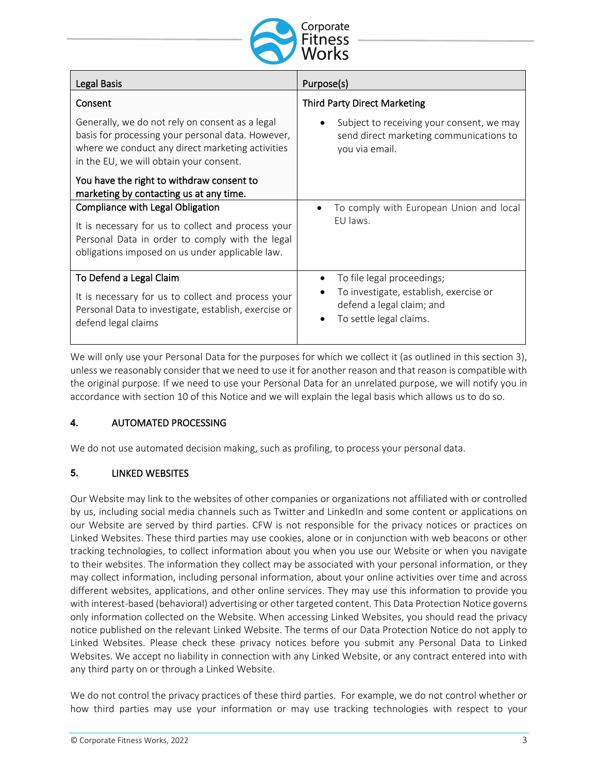

| Legal Basis                                                                                                                                                                                         | Purpose(s)                                                                                             |  |
|-----------------------------------------------------------------------------------------------------------------------------------------------------------------------------------------------------|--------------------------------------------------------------------------------------------------------|--|
| Consent                                                                                                                                                                                             | <b>Third Party Direct Marketing</b>                                                                    |  |
| Generally, we do not rely on consent as a legal<br>basis for processing your personal data. However,<br>where we conduct any direct marketing activities<br>in the EU, we will obtain your consent. | Subject to receiving your consent, we may<br>send direct marketing communications to<br>you via email. |  |
| You have the right to withdraw consent to<br>marketing by contacting us at any time.                                                                                                                |                                                                                                        |  |
| Compliance with Legal Obligation                                                                                                                                                                    | To comply with European Union and local                                                                |  |
| It is necessary for us to collect and process your<br>Personal Data in order to comply with the legal<br>obligations imposed on us under applicable law.                                            | EU laws.                                                                                               |  |
| To Defend a Legal Claim                                                                                                                                                                             | To file legal proceedings;                                                                             |  |
| It is necessary for us to collect and process your<br>Personal Data to investigate, establish, exercise or<br>defend legal claims                                                                   | To investigate, establish, exercise or<br>defend a legal claim; and<br>To settle legal claims.         |  |

We will only use your Personal Data for the purposes for which we collect it (as outlined in this section 3), unless we reasonably consider that we need to use it for another reason and that reason is compatible with the original purpose. If we need to use your Personal Data for an unrelated purpose, we will notify you in accordance with section 10 of this Notice and we will explain the legal basis which allows us to do so.

### **4.** AUTOMATED PROCESSING

We do not use automated decision making, such as profiling, to process your personal data.

### **5.** LINKED WEBSITES

Our Website may link to the websites of other companies or organizations not affiliated with or controlled by us, including social media channels such as Twitter and LinkedIn and some content or applications on our Website are served by third parties. CFW is not responsible for the privacy notices or practices on Linked Websites. These third parties may use cookies, alone or in conjunction with web beacons or other tracking technologies, to collect information about you when you use our Website or when you navigate to their websites. The information they collect may be associated with your personal information, or they may collect information, including personal information, about your online activities over time and across different websites, applications, and other online services. They may use this information to provide you with interest-based (behavioral) advertising or other targeted content. This Data Protection Notice governs only information collected on the Website. When accessing Linked Websites, you should read the privacy notice published on the relevant Linked Website. The terms of our Data Protection Notice do not apply to Linked Websites. Please check these privacy notices before you submit any Personal Data to Linked Websites. We accept no liability in connection with any Linked Website, or any contract entered into with any third party on or through a Linked Website.

We do not control the privacy practices of these third parties. For example, we do not control whether or how third parties may use your information or may use tracking technologies with respect to your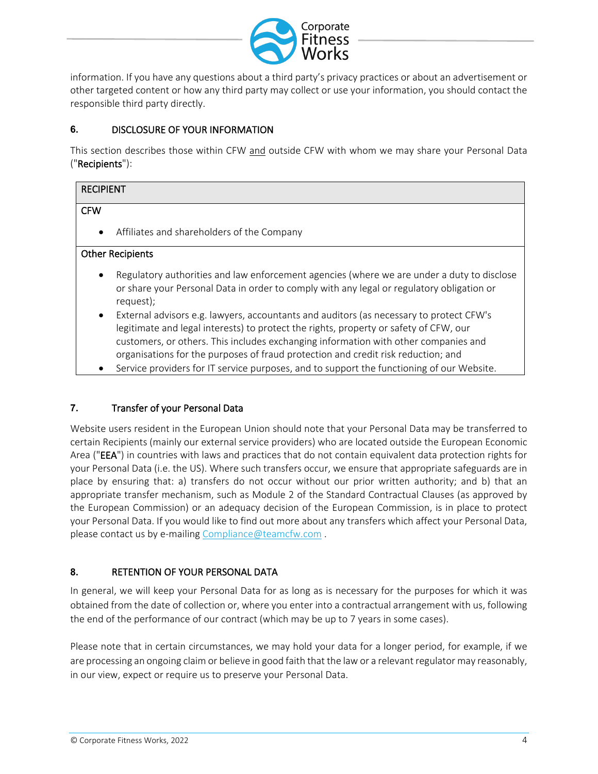

information. If you have any questions about a third party's privacy practices or about an advertisement or other targeted content or how any third party may collect or use your information, you should contact the responsible third party directly.

## **6.** DISCLOSURE OF YOUR INFORMATION

This section describes those within CFW and outside CFW with whom we may share your Personal Data ("Recipients"):

| <b>RECIPIENT</b>                                        |  |  |
|---------------------------------------------------------|--|--|
| <b>CFW</b>                                              |  |  |
| Affiliates and shareholders of the Company<br>$\bullet$ |  |  |
| <b>Other Recipients</b>                                 |  |  |

- Regulatory authorities and law enforcement agencies (where we are under a duty to disclose or share your Personal Data in order to comply with any legal or regulatory obligation or request);
- External advisors e.g. lawyers, accountants and auditors (as necessary to protect CFW's legitimate and legal interests) to protect the rights, property or safety of CFW, our customers, or others. This includes exchanging information with other companies and organisations for the purposes of fraud protection and credit risk reduction; and
- Service providers for IT service purposes, and to support the functioning of our Website.

### **7.** Transfer of your Personal Data

Website users resident in the European Union should note that your Personal Data may be transferred to certain Recipients (mainly our external service providers) who are located outside the European Economic Area ("EEA") in countries with laws and practices that do not contain equivalent data protection rights for your Personal Data (i.e. the US). Where such transfers occur, we ensure that appropriate safeguards are in place by ensuring that: a) transfers do not occur without our prior written authority; and b) that an appropriate transfer mechanism, such as Module 2 of the Standard Contractual Clauses (as approved by the European Commission) or an adequacy decision of the European Commission, is in place to protect your Personal Data. If you would like to find out more about any transfers which affect your Personal Data, please contact us by e-mailing [Compliance@teamcfw.com](mailto:Compliance@teamcfw.com) .

## **8.** RETENTION OF YOUR PERSONAL DATA

In general, we will keep your Personal Data for as long as is necessary for the purposes for which it was obtained from the date of collection or, where you enter into a contractual arrangement with us, following the end of the performance of our contract (which may be up to 7 years in some cases).

Please note that in certain circumstances, we may hold your data for a longer period, for example, if we are processing an ongoing claim or believe in good faith that the law or a relevant regulator may reasonably, in our view, expect or require us to preserve your Personal Data.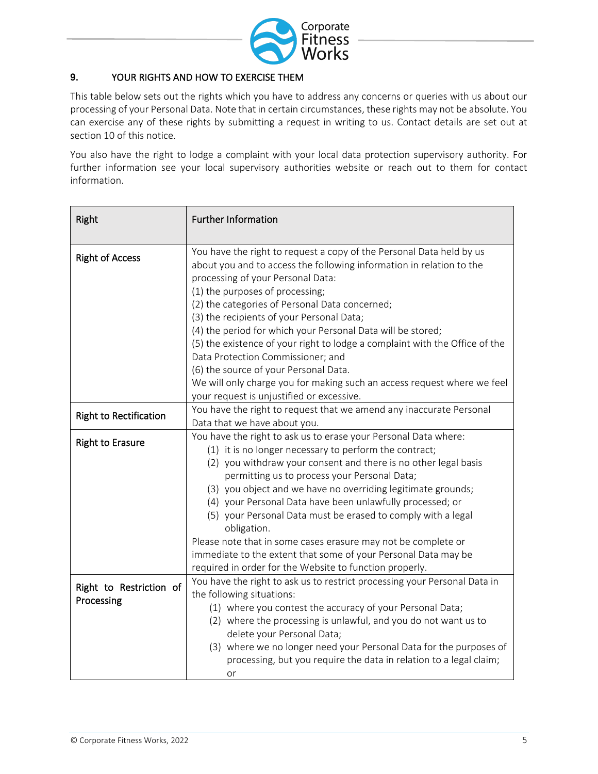

## **9.** YOUR RIGHTS AND HOW TO EXERCISE THEM

This table below sets out the rights which you have to address any concerns or queries with us about our processing of your Personal Data. Note that in certain circumstances, these rights may not be absolute. You can exercise any of these rights by submitting a request in writing to us. Contact details are set out at section 10 of this notice.

You also have the right to lodge a complaint with your local data protection supervisory authority. For further information see your local supervisory authorities website or reach out to them for contact information.

| Right                                 | <b>Further Information</b>                                                                                                                                                                                                                                                                                                                                                                                                                                                                                                                                                                                                                             |  |
|---------------------------------------|--------------------------------------------------------------------------------------------------------------------------------------------------------------------------------------------------------------------------------------------------------------------------------------------------------------------------------------------------------------------------------------------------------------------------------------------------------------------------------------------------------------------------------------------------------------------------------------------------------------------------------------------------------|--|
| <b>Right of Access</b>                | You have the right to request a copy of the Personal Data held by us<br>about you and to access the following information in relation to the<br>processing of your Personal Data:<br>(1) the purposes of processing;<br>(2) the categories of Personal Data concerned;<br>(3) the recipients of your Personal Data;<br>(4) the period for which your Personal Data will be stored;<br>(5) the existence of your right to lodge a complaint with the Office of the<br>Data Protection Commissioner; and<br>(6) the source of your Personal Data.<br>We will only charge you for making such an access request where we feel                             |  |
|                                       | your request is unjustified or excessive.                                                                                                                                                                                                                                                                                                                                                                                                                                                                                                                                                                                                              |  |
| <b>Right to Rectification</b>         | You have the right to request that we amend any inaccurate Personal<br>Data that we have about you.                                                                                                                                                                                                                                                                                                                                                                                                                                                                                                                                                    |  |
| <b>Right to Erasure</b>               | You have the right to ask us to erase your Personal Data where:<br>(1) it is no longer necessary to perform the contract;<br>(2) you withdraw your consent and there is no other legal basis<br>permitting us to process your Personal Data;<br>(3) you object and we have no overriding legitimate grounds;<br>(4) your Personal Data have been unlawfully processed; or<br>(5) your Personal Data must be erased to comply with a legal<br>obligation.<br>Please note that in some cases erasure may not be complete or<br>immediate to the extent that some of your Personal Data may be<br>required in order for the Website to function properly. |  |
| Right to Restriction of<br>Processing | You have the right to ask us to restrict processing your Personal Data in<br>the following situations:<br>(1) where you contest the accuracy of your Personal Data;<br>(2) where the processing is unlawful, and you do not want us to<br>delete your Personal Data;<br>(3) where we no longer need your Personal Data for the purposes of<br>processing, but you require the data in relation to a legal claim;<br>or                                                                                                                                                                                                                                 |  |